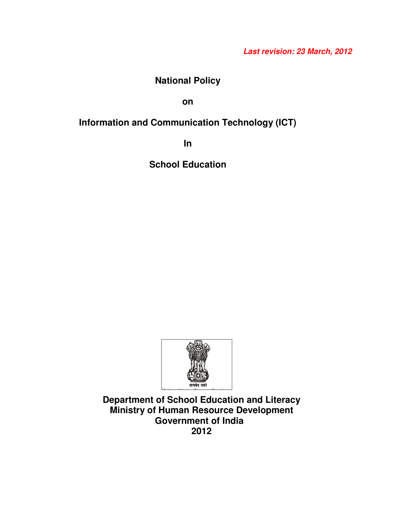# **Last revision: 23 March, 2012**

# **National Policy**

**on** 

# **Information and Communication Technology (ICT)**

**In** 

**School Education** 



**Department of School Education and Literacy Ministry of Human Resource Development Government of India 2012**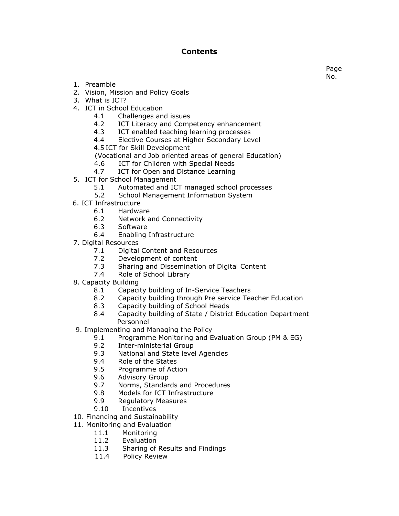# Contents

1. Preamble

- 2. Vision, Mission and Policy Goals
- 3. What is ICT?
- 4. ICT in School Education
	- 4.1 Challenges and issues
	- 4.2 ICT Literacy and Competency enhancement
	- 4.3 ICT enabled teaching learning processes
	- 4.4 Elective Courses at Higher Secondary Level
	- 4.5 ICT for Skill Development
	- (Vocational and Job oriented areas of general Education)
	- 4.6 ICT for Children with Special Needs
	- 4.7 ICT for Open and Distance Learning
- 5. ICT for School Management
	- 5.1 Automated and ICT managed school processes
	- 5.2 School Management Information System
- 6. ICT Infrastructure
	- 6.1 Hardware
	- 6.2 Network and Connectivity
	- 6.3 Software
	- 6.4 Enabling Infrastructure
- 7. Digital Resources
	- 7.1 Digital Content and Resources
	- 7.2 Development of content
	- 7.3 Sharing and Dissemination of Digital Content
	- 7.4 Role of School Library
- 8. Capacity Building
	- 8.1 Capacity building of In-Service Teachers
	- 8.2 Capacity building through Pre service Teacher Education
	- 8.3 Capacity building of School Heads
	- 8.4 Capacity building of State / District Education Department Personnel
- 9. Implementing and Managing the Policy
	- 9.1 Programme Monitoring and Evaluation Group (PM & EG)
	- 9.2 Inter-ministerial Group
	- 9.3 National and State level Agencies
	- 9.4 Role of the States
	- 9.5 Programme of Action
	- 9.6 Advisory Group
	- 9.7 Norms, Standards and Procedures
	- 9.8 Models for ICT Infrastructure
	- 9.9 Regulatory Measures
	- 9.10 Incentives
- 10. Financing and Sustainability
- 11. Monitoring and Evaluation
	- 11.1 Monitoring
	- 11.2 Evaluation
	- 11.3 Sharing of Results and Findings
	- 11.4 Policy Review

Page No.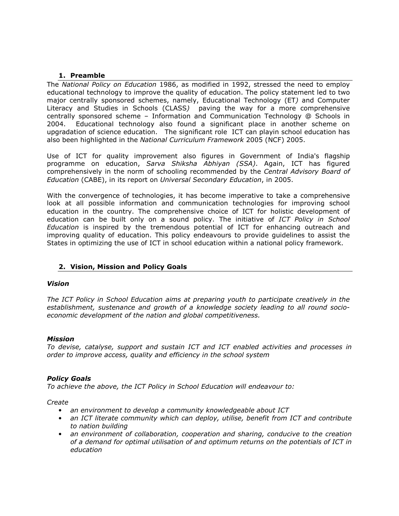# 1. Preamble

The National Policy on Education 1986, as modified in 1992, stressed the need to employ educational technology to improve the quality of education. The policy statement led to two major centrally sponsored schemes, namely, Educational Technology (ET) and Computer Literacy and Studies in Schools (CLASS) paving the way for a more comprehensive centrally sponsored scheme – Information and Communication Technology @ Schools in 2004. Educational technology also found a significant place in another scheme on upgradation of science education. The significant role ICT can playin school education has also been highlighted in the National Curriculum Framework 2005 (NCF) 2005.

Use of ICT for quality improvement also figures in Government of India's flagship programme on education, Sarva Shiksha Abhiyan (SSA). Again, ICT has figured comprehensively in the norm of schooling recommended by the Central Advisory Board of Education (CABE), in its report on Universal Secondary Education, in 2005.

With the convergence of technologies, it has become imperative to take a comprehensive look at all possible information and communication technologies for improving school education in the country. The comprehensive choice of ICT for holistic development of education can be built only on a sound policy. The initiative of ICT Policy in School Education is inspired by the tremendous potential of ICT for enhancing outreach and improving quality of education. This policy endeavours to provide guidelines to assist the States in optimizing the use of ICT in school education within a national policy framework.

# 2. Vision, Mission and Policy Goals

# Vision

The ICT Policy in School Education aims at preparing youth to participate creatively in the establishment, sustenance and growth of a knowledge society leading to all round socioeconomic development of the nation and global competitiveness.

# Mission

To devise, catalyse, support and sustain ICT and ICT enabled activities and processes in order to improve access, quality and efficiency in the school system

# Policy Goals

To achieve the above, the ICT Policy in School Education will endeavour to:

Create

- an environment to develop a community knowledgeable about ICT
- an ICT literate community which can deploy, utilise, benefit from ICT and contribute to nation building
- an environment of collaboration, cooperation and sharing, conducive to the creation of a demand for optimal utilisation of and optimum returns on the potentials of ICT in education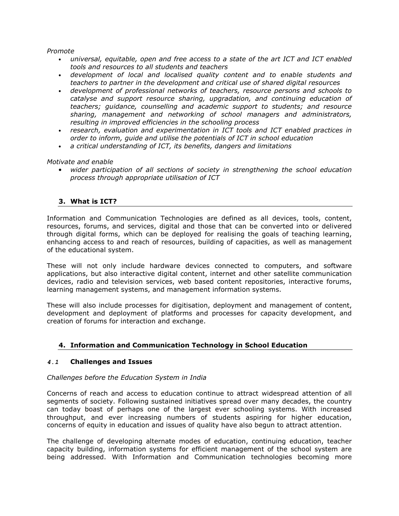Promote

- universal, equitable, open and free access to a state of the art ICT and ICT enabled tools and resources to all students and teachers
- development of local and localised quality content and to enable students and teachers to partner in the development and critical use of shared digital resources
- development of professional networks of teachers, resource persons and schools to catalyse and support resource sharing, upgradation, and continuing education of teachers; guidance, counselling and academic support to students; and resource sharing, management and networking of school managers and administrators, resulting in improved efficiencies in the schooling process
- research, evaluation and experimentation in ICT tools and ICT enabled practices in order to inform, guide and utilise the potentials of ICT in school education
- a critical understanding of ICT, its benefits, dangers and limitations

Motivate and enable

• wider participation of all sections of society in strengthening the school education process through appropriate utilisation of ICT

# 3. What is ICT?

Information and Communication Technologies are defined as all devices, tools, content, resources, forums, and services, digital and those that can be converted into or delivered through digital forms, which can be deployed for realising the goals of teaching learning, enhancing access to and reach of resources, building of capacities, as well as management of the educational system.

These will not only include hardware devices connected to computers, and software applications, but also interactive digital content, internet and other satellite communication devices, radio and television services, web based content repositories, interactive forums, learning management systems, and management information systems.

These will also include processes for digitisation, deployment and management of content, development and deployment of platforms and processes for capacity development, and creation of forums for interaction and exchange.

# 4. Information and Communication Technology in School Education

# **4.1** Challenges and Issues

# Challenges before the Education System in India

Concerns of reach and access to education continue to attract widespread attention of all segments of society. Following sustained initiatives spread over many decades, the country can today boast of perhaps one of the largest ever schooling systems. With increased throughput, and ever increasing numbers of students aspiring for higher education, concerns of equity in education and issues of quality have also begun to attract attention.

The challenge of developing alternate modes of education, continuing education, teacher capacity building, information systems for efficient management of the school system are being addressed. With Information and Communication technologies becoming more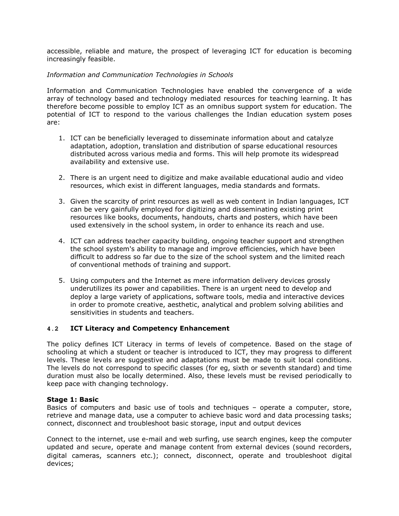accessible, reliable and mature, the prospect of leveraging ICT for education is becoming increasingly feasible.

# Information and Communication Technologies in Schools

Information and Communication Technologies have enabled the convergence of a wide array of technology based and technology mediated resources for teaching learning. It has therefore become possible to employ ICT as an omnibus support system for education. The potential of ICT to respond to the various challenges the Indian education system poses are:

- 1. ICT can be beneficially leveraged to disseminate information about and catalyze adaptation, adoption, translation and distribution of sparse educational resources distributed across various media and forms. This will help promote its widespread availability and extensive use.
- 2. There is an urgent need to digitize and make available educational audio and video resources, which exist in different languages, media standards and formats.
- 3. Given the scarcity of print resources as well as web content in Indian languages, ICT can be very gainfully employed for digitizing and disseminating existing print resources like books, documents, handouts, charts and posters, which have been used extensively in the school system, in order to enhance its reach and use.
- 4. ICT can address teacher capacity building, ongoing teacher support and strengthen the school system's ability to manage and improve efficiencies, which have been difficult to address so far due to the size of the school system and the limited reach of conventional methods of training and support.
- 5. Using computers and the Internet as mere information delivery devices grossly underutilizes its power and capabilities. There is an urgent need to develop and deploy a large variety of applications, software tools, media and interactive devices in order to promote creative, aesthetic, analytical and problem solving abilities and sensitivities in students and teachers.

# **4.2** ICT Literacy and Competency Enhancement

The policy defines ICT Literacy in terms of levels of competence. Based on the stage of schooling at which a student or teacher is introduced to ICT, they may progress to different levels. These levels are suggestive and adaptations must be made to suit local conditions. The levels do not correspond to specific classes (for eg, sixth or seventh standard) and time duration must also be locally determined. Also, these levels must be revised periodically to keep pace with changing technology.

# Stage 1: Basic

Basics of computers and basic use of tools and techniques – operate a computer, store, retrieve and manage data, use a computer to achieve basic word and data processing tasks; connect, disconnect and troubleshoot basic storage, input and output devices

Connect to the internet, use e-mail and web surfing, use search engines, keep the computer updated and secure, operate and manage content from external devices (sound recorders, digital cameras, scanners etc.); connect, disconnect, operate and troubleshoot digital devices;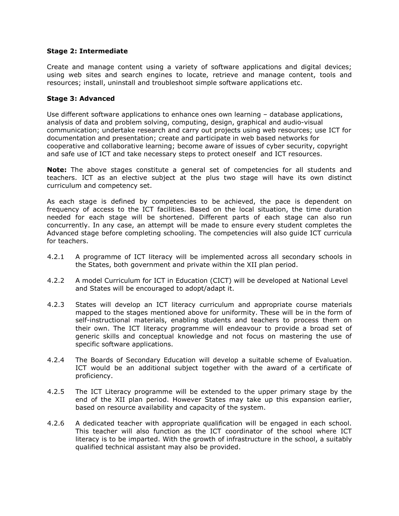# Stage 2: Intermediate

Create and manage content using a variety of software applications and digital devices; using web sites and search engines to locate, retrieve and manage content, tools and resources; install, uninstall and troubleshoot simple software applications etc.

# Stage 3: Advanced

Use different software applications to enhance ones own learning – database applications, analysis of data and problem solving, computing, design, graphical and audio-visual communication; undertake research and carry out projects using web resources; use ICT for documentation and presentation; create and participate in web based networks for cooperative and collaborative learning; become aware of issues of cyber security, copyright and safe use of ICT and take necessary steps to protect oneself and ICT resources.

Note: The above stages constitute a general set of competencies for all students and teachers. ICT as an elective subject at the plus two stage will have its own distinct curriculum and competency set.

As each stage is defined by competencies to be achieved, the pace is dependent on frequency of access to the ICT facilities. Based on the local situation, the time duration needed for each stage will be shortened. Different parts of each stage can also run concurrently. In any case, an attempt will be made to ensure every student completes the Advanced stage before completing schooling. The competencies will also guide ICT curricula for teachers.

- 4.2.1 A programme of ICT literacy will be implemented across all secondary schools in the States, both government and private within the XII plan period.
- 4.2.2 A model Curriculum for ICT in Education (CICT) will be developed at National Level and States will be encouraged to adopt/adapt it.
- 4.2.3 States will develop an ICT literacy curriculum and appropriate course materials mapped to the stages mentioned above for uniformity. These will be in the form of self-instructional materials, enabling students and teachers to process them on their own. The ICT literacy programme will endeavour to provide a broad set of generic skills and conceptual knowledge and not focus on mastering the use of specific software applications.
- 4.2.4 The Boards of Secondary Education will develop a suitable scheme of Evaluation. ICT would be an additional subject together with the award of a certificate of proficiency.
- 4.2.5 The ICT Literacy programme will be extended to the upper primary stage by the end of the XII plan period. However States may take up this expansion earlier, based on resource availability and capacity of the system.
- 4.2.6 A dedicated teacher with appropriate qualification will be engaged in each school. This teacher will also function as the ICT coordinator of the school where ICT literacy is to be imparted. With the growth of infrastructure in the school, a suitably qualified technical assistant may also be provided.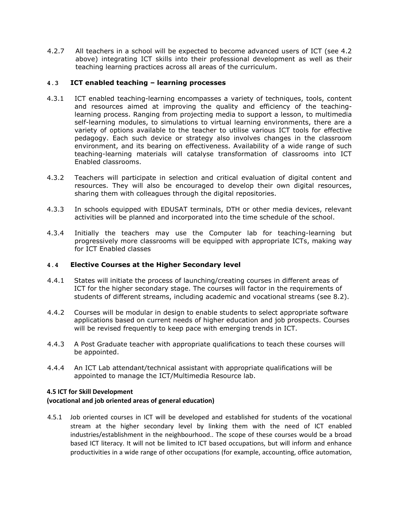4.2.7 All teachers in a school will be expected to become advanced users of ICT (see 4.2 above) integrating ICT skills into their professional development as well as their teaching learning practices across all areas of the curriculum.

# **4.3** ICT enabled teaching – learning processes

- 4.3.1 ICT enabled teaching-learning encompasses a variety of techniques, tools, content and resources aimed at improving the quality and efficiency of the teachinglearning process. Ranging from projecting media to support a lesson, to multimedia self-learning modules, to simulations to virtual learning environments, there are a variety of options available to the teacher to utilise various ICT tools for effective pedagogy. Each such device or strategy also involves changes in the classroom environment, and its bearing on effectiveness. Availability of a wide range of such teaching-learning materials will catalyse transformation of classrooms into ICT Enabled classrooms.
- 4.3.2 Teachers will participate in selection and critical evaluation of digital content and resources. They will also be encouraged to develop their own digital resources, sharing them with colleagues through the digital repositories.
- 4.3.3 In schools equipped with EDUSAT terminals, DTH or other media devices, relevant activities will be planned and incorporated into the time schedule of the school.
- 4.3.4 Initially the teachers may use the Computer lab for teaching-learning but progressively more classrooms will be equipped with appropriate ICTs, making way for ICT Enabled classes

# **4.4** Elective Courses at the Higher Secondary level

- 4.4.1 States will initiate the process of launching/creating courses in different areas of ICT for the higher secondary stage. The courses will factor in the requirements of students of different streams, including academic and vocational streams (see 8.2).
- 4.4.2 Courses will be modular in design to enable students to select appropriate software applications based on current needs of higher education and job prospects. Courses will be revised frequently to keep pace with emerging trends in ICT.
- 4.4.3 A Post Graduate teacher with appropriate qualifications to teach these courses will be appointed.
- 4.4.4 An ICT Lab attendant/technical assistant with appropriate qualifications will be appointed to manage the ICT/Multimedia Resource lab.

# 4.5 ICT for Skill Development (vocational and job oriented areas of general education)

4.5.1 Job oriented courses in ICT will be developed and established for students of the vocational stream at the higher secondary level by linking them with the need of ICT enabled industries/establishment in the neighbourhood.. The scope of these courses would be a broad based ICT literacy. It will not be limited to ICT based occupations, but will inform and enhance productivities in a wide range of other occupations (for example, accounting, office automation,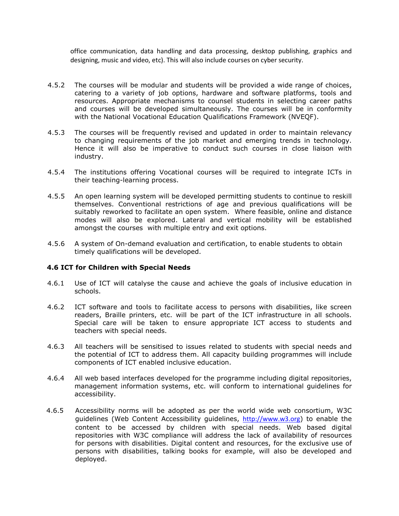office communication, data handling and data processing, desktop publishing, graphics and designing, music and video, etc). This will also include courses on cyber security.

- 4.5.2 The courses will be modular and students will be provided a wide range of choices, catering to a variety of job options, hardware and software platforms, tools and resources. Appropriate mechanisms to counsel students in selecting career paths and courses will be developed simultaneously. The courses will be in conformity with the National Vocational Education Qualifications Framework (NVEQF).
- 4.5.3 The courses will be frequently revised and updated in order to maintain relevancy to changing requirements of the job market and emerging trends in technology. Hence it will also be imperative to conduct such courses in close liaison with industry.
- 4.5.4 The institutions offering Vocational courses will be required to integrate ICTs in their teaching-learning process.
- 4.5.5 An open learning system will be developed permitting students to continue to reskill themselves. Conventional restrictions of age and previous qualifications will be suitably reworked to facilitate an open system. Where feasible, online and distance modes will also be explored. Lateral and vertical mobility will be established amongst the courses with multiple entry and exit options.
- 4.5.6 A system of On-demand evaluation and certification, to enable students to obtain timely qualifications will be developed.

# 4.6 ICT for Children with Special Needs

- 4.6.1 Use of ICT will catalyse the cause and achieve the goals of inclusive education in schools.
- 4.6.2 ICT software and tools to facilitate access to persons with disabilities, like screen readers, Braille printers, etc. will be part of the ICT infrastructure in all schools. Special care will be taken to ensure appropriate ICT access to students and teachers with special needs.
- 4.6.3 All teachers will be sensitised to issues related to students with special needs and the potential of ICT to address them. All capacity building programmes will include components of ICT enabled inclusive education.
- 4.6.4 All web based interfaces developed for the programme including digital repositories, management information systems, etc. will conform to international guidelines for accessibility.
- 4.6.5 Accessibility norms will be adopted as per the world wide web consortium, W3C guidelines (Web Content Accessibility guidelines, http://www.w3.org) to enable the content to be accessed by children with special needs. Web based digital repositories with W3C compliance will address the lack of availability of resources for persons with disabilities. Digital content and resources, for the exclusive use of persons with disabilities, talking books for example, will also be developed and deployed.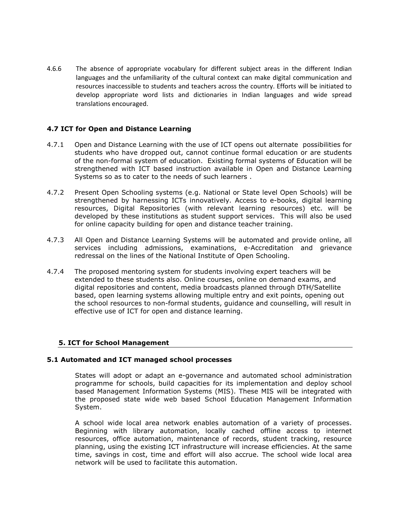4.6.6 The absence of appropriate vocabulary for different subject areas in the different Indian languages and the unfamiliarity of the cultural context can make digital communication and resources inaccessible to students and teachers across the country. Efforts will be initiated to develop appropriate word lists and dictionaries in Indian languages and wide spread translations encouraged.

# 4.7 ICT for Open and Distance Learning

- 4.7.1 Open and Distance Learning with the use of ICT opens out alternate possibilities for students who have dropped out, cannot continue formal education or are students of the non-formal system of education. Existing formal systems of Education will be strengthened with ICT based instruction available in Open and Distance Learning Systems so as to cater to the needs of such learners .
- 4.7.2 Present Open Schooling systems (e.g. National or State level Open Schools) will be strengthened by harnessing ICTs innovatively. Access to e-books, digital learning resources, Digital Repositories (with relevant learning resources) etc. will be developed by these institutions as student support services. This will also be used for online capacity building for open and distance teacher training.
- 4.7.3 All Open and Distance Learning Systems will be automated and provide online, all services including admissions, examinations, e-Accreditation and grievance redressal on the lines of the National Institute of Open Schooling.
- 4.7.4 The proposed mentoring system for students involving expert teachers will be extended to these students also. Online courses, online on demand exams, and digital repositories and content, media broadcasts planned through DTH/Satellite based, open learning systems allowing multiple entry and exit points, opening out the school resources to non-formal students, guidance and counselling, will result in effective use of ICT for open and distance learning.

# 5. ICT for School Management

# 5.1 Automated and ICT managed school processes

States will adopt or adapt an e-governance and automated school administration programme for schools, build capacities for its implementation and deploy school based Management Information Systems (MIS). These MIS will be integrated with the proposed state wide web based School Education Management Information System.

A school wide local area network enables automation of a variety of processes. Beginning with library automation, locally cached offline access to internet resources, office automation, maintenance of records, student tracking, resource planning, using the existing ICT infrastructure will increase efficiencies. At the same time, savings in cost, time and effort will also accrue. The school wide local area network will be used to facilitate this automation.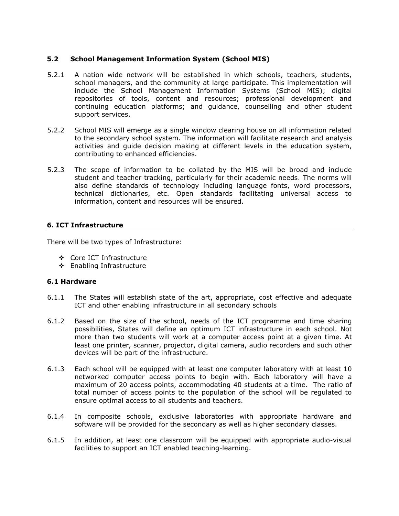# 5.2 School Management Information System (School MIS)

- 5.2.1 A nation wide network will be established in which schools, teachers, students, school managers, and the community at large participate. This implementation will include the School Management Information Systems (School MIS); digital repositories of tools, content and resources; professional development and continuing education platforms; and guidance, counselling and other student support services.
- 5.2.2 School MIS will emerge as a single window clearing house on all information related to the secondary school system. The information will facilitate research and analysis activities and guide decision making at different levels in the education system, contributing to enhanced efficiencies.
- 5.2.3 The scope of information to be collated by the MIS will be broad and include student and teacher tracking, particularly for their academic needs. The norms will also define standards of technology including language fonts, word processors, technical dictionaries, etc. Open standards facilitating universal access to information, content and resources will be ensured.

# 6. ICT Infrastructure

There will be two types of Infrastructure:

- Core ICT Infrastructure
- Enabling Infrastructure

# 6.1 Hardware

- 6.1.1 The States will establish state of the art, appropriate, cost effective and adequate ICT and other enabling infrastructure in all secondary schools
- 6.1.2 Based on the size of the school, needs of the ICT programme and time sharing possibilities, States will define an optimum ICT infrastructure in each school. Not more than two students will work at a computer access point at a given time. At least one printer, scanner, projector, digital camera, audio recorders and such other devices will be part of the infrastructure.
- 6.1.3 Each school will be equipped with at least one computer laboratory with at least 10 networked computer access points to begin with. Each laboratory will have a maximum of 20 access points, accommodating 40 students at a time. The ratio of total number of access points to the population of the school will be regulated to ensure optimal access to all students and teachers.
- 6.1.4 In composite schools, exclusive laboratories with appropriate hardware and software will be provided for the secondary as well as higher secondary classes.
- 6.1.5 In addition, at least one classroom will be equipped with appropriate audio-visual facilities to support an ICT enabled teaching-learning.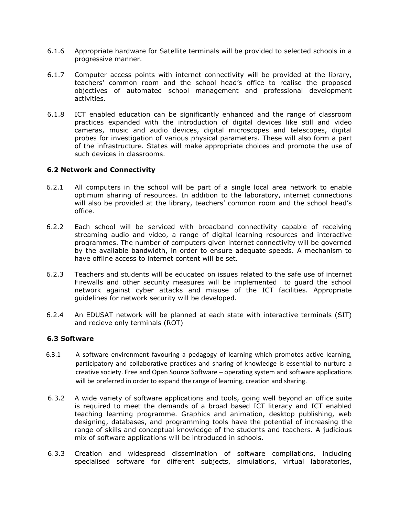- 6.1.6 Appropriate hardware for Satellite terminals will be provided to selected schools in a progressive manner.
- 6.1.7 Computer access points with internet connectivity will be provided at the library, teachers' common room and the school head's office to realise the proposed objectives of automated school management and professional development activities.
- 6.1.8 ICT enabled education can be significantly enhanced and the range of classroom practices expanded with the introduction of digital devices like still and video cameras, music and audio devices, digital microscopes and telescopes, digital probes for investigation of various physical parameters. These will also form a part of the infrastructure. States will make appropriate choices and promote the use of such devices in classrooms.

#### 6.2 Network and Connectivity

- 6.2.1 All computers in the school will be part of a single local area network to enable optimum sharing of resources. In addition to the laboratory, internet connections will also be provided at the library, teachers' common room and the school head's office.
- 6.2.2 Each school will be serviced with broadband connectivity capable of receiving streaming audio and video, a range of digital learning resources and interactive programmes. The number of computers given internet connectivity will be governed by the available bandwidth, in order to ensure adequate speeds. A mechanism to have offline access to internet content will be set.
- 6.2.3 Teachers and students will be educated on issues related to the safe use of internet Firewalls and other security measures will be implemented to guard the school network against cyber attacks and misuse of the ICT facilities. Appropriate guidelines for network security will be developed.
- 6.2.4 An EDUSAT network will be planned at each state with interactive terminals (SIT) and recieve only terminals (ROT)

# 6.3 Software

- 6.3.1 A software environment favouring a pedagogy of learning which promotes active learning, participatory and collaborative practices and sharing of knowledge is essential to nurture a creative society. Free and Open Source Software – operating system and software applications will be preferred in order to expand the range of learning, creation and sharing.
- 6.3.2 A wide variety of software applications and tools, going well beyond an office suite is required to meet the demands of a broad based ICT literacy and ICT enabled teaching learning programme. Graphics and animation, desktop publishing, web designing, databases, and programming tools have the potential of increasing the range of skills and conceptual knowledge of the students and teachers. A judicious mix of software applications will be introduced in schools.
- 6.3.3 Creation and widespread dissemination of software compilations, including specialised software for different subjects, simulations, virtual laboratories,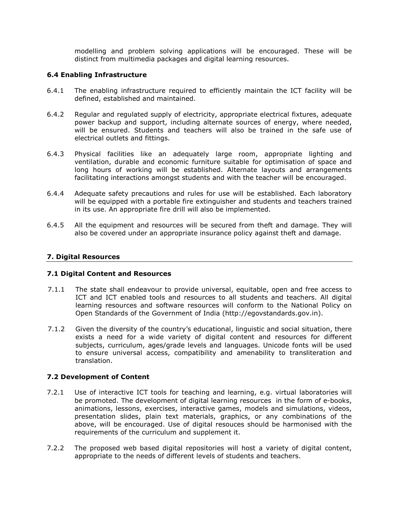modelling and problem solving applications will be encouraged. These will be distinct from multimedia packages and digital learning resources.

# 6.4 Enabling Infrastructure

- 6.4.1 The enabling infrastructure required to efficiently maintain the ICT facility will be defined, established and maintained.
- 6.4.2 Regular and regulated supply of electricity, appropriate electrical fixtures, adequate power backup and support, including alternate sources of energy, where needed, will be ensured. Students and teachers will also be trained in the safe use of electrical outlets and fittings.
- 6.4.3 Physical facilities like an adequately large room, appropriate lighting and ventilation, durable and economic furniture suitable for optimisation of space and long hours of working will be established. Alternate layouts and arrangements facilitating interactions amongst students and with the teacher will be encouraged.
- 6.4.4 Adequate safety precautions and rules for use will be established. Each laboratory will be equipped with a portable fire extinguisher and students and teachers trained in its use. An appropriate fire drill will also be implemented.
- 6.4.5 All the equipment and resources will be secured from theft and damage. They will also be covered under an appropriate insurance policy against theft and damage.

# 7. Digital Resources

# 7.1 Digital Content and Resources

- 7.1.1 The state shall endeavour to provide universal, equitable, open and free access to ICT and ICT enabled tools and resources to all students and teachers. All digital learning resources and software resources will conform to the National Policy on Open Standards of the Government of India (http://egovstandards.gov.in).
- 7.1.2 Given the diversity of the country's educational, linguistic and social situation, there exists a need for a wide variety of digital content and resources for different subjects, curriculum, ages/grade levels and languages. Unicode fonts will be used to ensure universal access, compatibility and amenability to transliteration and translation.

# 7.2 Development of Content

- 7.2.1 Use of interactive ICT tools for teaching and learning, e.g. virtual laboratories will be promoted. The development of digital learning resources in the form of e-books, animations, lessons, exercises, interactive games, models and simulations, videos, presentation slides, plain text materials, graphics, or any combinations of the above, will be encouraged. Use of digital resouces should be harmonised with the requirements of the curriculum and supplement it.
- 7.2.2 The proposed web based digital repositories will host a variety of digital content, appropriate to the needs of different levels of students and teachers.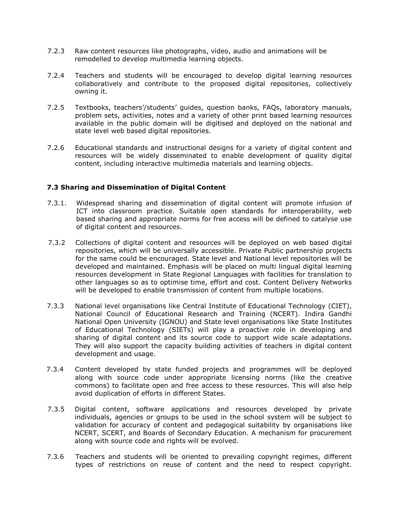- 7.2.3 Raw content resources like photographs, video, audio and animations will be remodelled to develop multimedia learning objects.
- 7.2.4 Teachers and students will be encouraged to develop digital learning resources collaboratively and contribute to the proposed digital repositories, collectively owning it.
- 7.2.5 Textbooks, teachers'/students' guides, question banks, FAQs, laboratory manuals, problem sets, activities, notes and a variety of other print based learning resources available in the public domain will be digitised and deployed on the national and state level web based digital repositories.
- 7.2.6 Educational standards and instructional designs for a variety of digital content and resources will be widely disseminated to enable development of quality digital content, including interactive multimedia materials and learning objects.

# 7.3 Sharing and Dissemination of Digital Content

- 7.3.1. Widespread sharing and dissemination of digital content will promote infusion of ICT into classroom practice. Suitable open standards for interoperability, web based sharing and appropriate norms for free access will be defined to catalyse use of digital content and resources.
- 7.3.2 Collections of digital content and resources will be deployed on web based digital repositories, which will be universally accessible. Private Public partnership projects for the same could be encouraged. State level and National level repositories will be developed and maintained. Emphasis will be placed on multi lingual digital learning resources development in State Regional Languages with facilities for translation to other languages so as to optimise time, effort and cost. Content Delivery Networks will be developed to enable transmission of content from multiple locations.
- 7.3.3 National level organisations like Central Institute of Educational Technology (CIET), National Council of Educational Research and Training (NCERT). Indira Gandhi National Open University (IGNOU) and State level organisations like State Institutes of Educational Technology (SIETs) will play a proactive role in developing and sharing of digital content and its source code to support wide scale adaptations. They will also support the capacity building activities of teachers in digital content development and usage.
- 7.3.4 Content developed by state funded projects and programmes will be deployed along with source code under appropriate licensing norms (like the creative commons) to facilitate open and free access to these resources. This will also help avoid duplication of efforts in different States.
- 7.3.5 Digital content, software applications and resources developed by private individuals, agencies or groups to be used in the school system will be subject to validation for accuracy of content and pedagogical suitability by organisations like NCERT, SCERT, and Boards of Secondary Education. A mechanism for procurement along with source code and rights will be evolved.
- 7.3.6 Teachers and students will be oriented to prevailing copyright regimes, different types of restrictions on reuse of content and the need to respect copyright.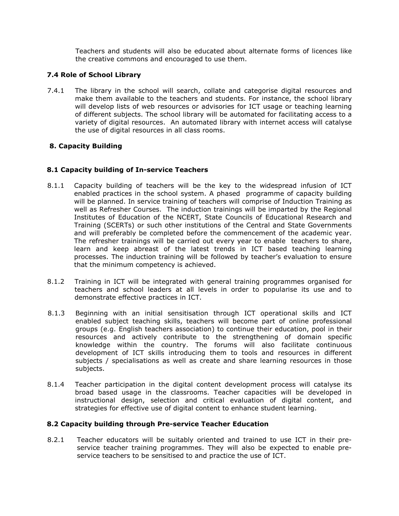Teachers and students will also be educated about alternate forms of licences like the creative commons and encouraged to use them.

# 7.4 Role of School Library

7.4.1 The library in the school will search, collate and categorise digital resources and make them available to the teachers and students. For instance, the school library will develop lists of web resources or advisories for ICT usage or teaching learning of different subjects. The school library will be automated for facilitating access to a variety of digital resources. An automated library with internet access will catalyse the use of digital resources in all class rooms.

# 8. Capacity Building

# 8.1 Capacity building of In-service Teachers

- 8.1.1 Capacity building of teachers will be the key to the widespread infusion of ICT enabled practices in the school system. A phased programme of capacity building will be planned. In service training of teachers will comprise of Induction Training as well as Refresher Courses. The induction trainings will be imparted by the Regional Institutes of Education of the NCERT, State Councils of Educational Research and Training (SCERTs) or such other institutions of the Central and State Governments and will preferably be completed before the commencement of the academic year. The refresher trainings will be carried out every year to enable teachers to share, learn and keep abreast of the latest trends in ICT based teaching learning processes. The induction training will be followed by teacher's evaluation to ensure that the minimum competency is achieved.
- 8.1.2 Training in ICT will be integrated with general training programmes organised for teachers and school leaders at all levels in order to popularise its use and to demonstrate effective practices in ICT.
- 8.1.3 Beginning with an initial sensitisation through ICT operational skills and ICT enabled subject teaching skills, teachers will become part of online professional groups (e.g. English teachers association) to continue their education, pool in their resources and actively contribute to the strengthening of domain specific knowledge within the country. The forums will also facilitate continuous development of ICT skills introducing them to tools and resources in different subjects / specialisations as well as create and share learning resources in those subjects.
- 8.1.4 Teacher participation in the digital content development process will catalyse its broad based usage in the classrooms. Teacher capacities will be developed in instructional design, selection and critical evaluation of digital content, and strategies for effective use of digital content to enhance student learning.

# 8.2 Capacity building through Pre-service Teacher Education

8.2.1 Teacher educators will be suitably oriented and trained to use ICT in their preservice teacher training programmes. They will also be expected to enable preservice teachers to be sensitised to and practice the use of ICT.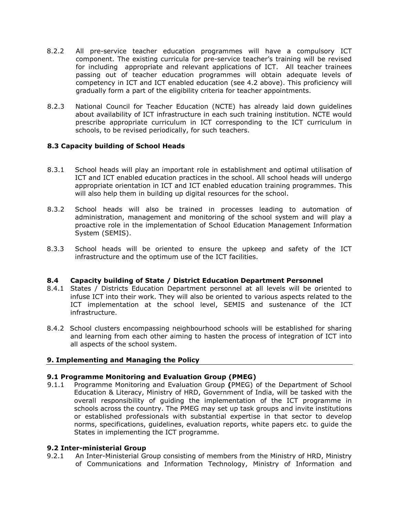- 8.2.2 All pre-service teacher education programmes will have a compulsory ICT component. The existing curricula for pre-service teacher's training will be revised for including appropriate and relevant applications of ICT. All teacher trainees passing out of teacher education programmes will obtain adequate levels of competency in ICT and ICT enabled education (see 4.2 above). This proficiency will gradually form a part of the eligibility criteria for teacher appointments.
- 8.2.3 National Council for Teacher Education (NCTE) has already laid down guidelines about availability of ICT infrastructure in each such training institution. NCTE would prescribe appropriate curriculum in ICT corresponding to the ICT curriculum in schools, to be revised periodically, for such teachers.

# 8.3 Capacity building of School Heads

- 8.3.1 School heads will play an important role in establishment and optimal utilisation of ICT and ICT enabled education practices in the school. All school heads will undergo appropriate orientation in ICT and ICT enabled education training programmes. This will also help them in building up digital resources for the school.
- 8.3.2 School heads will also be trained in processes leading to automation of administration, management and monitoring of the school system and will play a proactive role in the implementation of School Education Management Information System (SEMIS).
- 8.3.3 School heads will be oriented to ensure the upkeep and safety of the ICT infrastructure and the optimum use of the ICT facilities.

# 8.4 Capacity building of State / District Education Department Personnel

- 8.4.1 States / Districts Education Department personnel at all levels will be oriented to infuse ICT into their work. They will also be oriented to various aspects related to the ICT implementation at the school level, SEMIS and sustenance of the ICT infrastructure.
- 8.4.2 School clusters encompassing neighbourhood schools will be established for sharing and learning from each other aiming to hasten the process of integration of ICT into all aspects of the school system.

# 9. Implementing and Managing the Policy

# 9.1 Programme Monitoring and Evaluation Group (PMEG)

9.1.1 Programme Monitoring and Evaluation Group (PMEG) of the Department of School Education & Literacy, Ministry of HRD, Government of India, will be tasked with the overall responsibility of guiding the implementation of the ICT programme in schools across the country. The PMEG may set up task groups and invite institutions or established professionals with substantial expertise in that sector to develop norms, specifications, guidelines, evaluation reports, white papers etc. to guide the States in implementing the ICT programme.

# 9.2 Inter-ministerial Group

9.2.1 An Inter-Ministerial Group consisting of members from the Ministry of HRD, Ministry of Communications and Information Technology, Ministry of Information and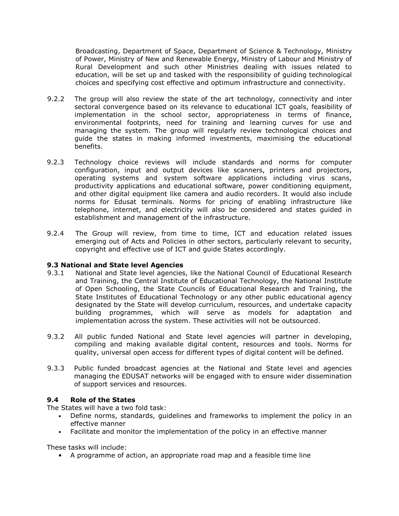Broadcasting, Department of Space, Department of Science & Technology, Ministry of Power, Ministry of New and Renewable Energy, Ministry of Labour and Ministry of Rural Development and such other Ministries dealing with issues related to education, will be set up and tasked with the responsibility of guiding technological choices and specifying cost effective and optimum infrastructure and connectivity.

- 9.2.2 The group will also review the state of the art technology, connectivity and inter sectoral convergence based on its relevance to educational ICT goals, feasibility of implementation in the school sector, appropriateness in terms of finance, environmental footprints, need for training and learning curves for use and managing the system. The group will regularly review technological choices and guide the states in making informed investments, maximising the educational benefits.
- 9.2.3 Technology choice reviews will include standards and norms for computer configuration, input and output devices like scanners, printers and projectors, operating systems and system software applications including virus scans, productivity applications and educational software, power conditioning equipment, and other digital equipment like camera and audio recorders. It would also include norms for Edusat terminals. Norms for pricing of enabling infrastructure like telephone, internet, and electricity will also be considered and states guided in establishment and management of the infrastructure.
- 9.2.4 The Group will review, from time to time, ICT and education related issues emerging out of Acts and Policies in other sectors, particularly relevant to security, copyright and effective use of ICT and guide States accordingly.

# 9.3 National and State level Agencies

- 9.3.1 National and State level agencies, like the National Council of Educational Research and Training, the Central Institute of Educational Technology, the National Institute of Open Schooling, the State Councils of Educational Research and Training, the State Institutes of Educational Technology or any other public educational agency designated by the State will develop curriculum, resources, and undertake capacity building programmes, which will serve as models for adaptation and implementation across the system. These activities will not be outsourced.
- 9.3.2 All public funded National and State level agencies will partner in developing, compiling and making available digital content, resources and tools. Norms for quality, universal open access for different types of digital content will be defined.
- 9.3.3 Public funded broadcast agencies at the National and State level and agencies managing the EDUSAT networks will be engaged with to ensure wider dissemination of support services and resources.

# 9.4 Role of the States

The States will have a two fold task:

- Define norms, standards, guidelines and frameworks to implement the policy in an effective manner
- Facilitate and monitor the implementation of the policy in an effective manner

These tasks will include:

• A programme of action, an appropriate road map and a feasible time line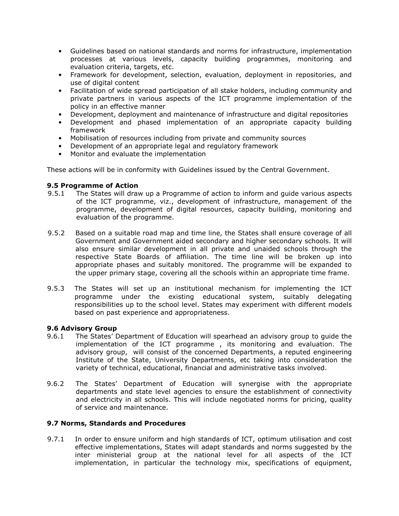- Guidelines based on national standards and norms for infrastructure, implementation processes at various levels, capacity building programmes, monitoring and evaluation criteria, targets, etc.
- Framework for development, selection, evaluation, deployment in repositories, and use of digital content
- Facilitation of wide spread participation of all stake holders, including community and private partners in various aspects of the ICT programme implementation of the policy in an effective manner
- Development, deployment and maintenance of infrastructure and digital repositories
- Development and phased implementation of an appropriate capacity building framework
- Mobilisation of resources including from private and community sources
- Development of an appropriate legal and regulatory framework
- Monitor and evaluate the implementation

These actions will be in conformity with Guidelines issued by the Central Government.

#### 9.5 Programme of Action

- 9.5.1 The States will draw up a Programme of action to inform and guide various aspects of the ICT programme, viz., development of infrastructure, management of the programme, development of digital resources, capacity building, monitoring and evaluation of the programme.
- 9.5.2 Based on a suitable road map and time line, the States shall ensure coverage of all Government and Government aided secondary and higher secondary schools. It will also ensure similar development in all private and unaided schools through the respective State Boards of affiliation. The time line will be broken up into appropriate phases and suitably monitored. The programme will be expanded to the upper primary stage, covering all the schools within an appropriate time frame.
- 9.5.3 The States will set up an institutional mechanism for implementing the ICT programme under the existing educational system, suitably delegating responsibilities up to the school level. States may experiment with different models based on past experience and appropriateness.

# 9.6 Advisory Group

- 9.6.1 The States' Department of Education will spearhead an advisory group to guide the implementation of the ICT programme , its monitoring and evaluation. The advisory group, will consist of the concerned Departments, a reputed engineering Institute of the State, University Departments, etc taking into consideration the variety of technical, educational, financial and administrative tasks involved.
- 9.6.2 The States' Department of Education will synergise with the appropriate departments and state level agencies to ensure the establishment of connectivity and electricity in all schools. This will include negotiated norms for pricing, quality of service and maintenance.

# 9.7 Norms, Standards and Procedures

9.7.1 In order to ensure uniform and high standards of ICT, optimum utilisation and cost effective implementations, States will adapt standards and norms suggested by the inter ministerial group at the national level for all aspects of the ICT implementation, in particular the technology mix, specifications of equipment,